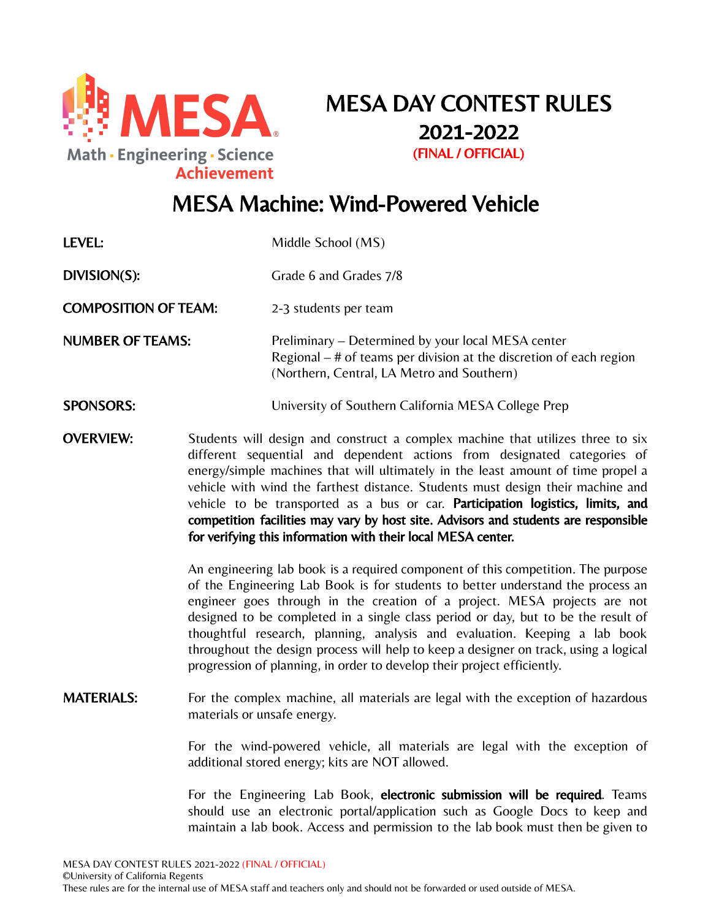

MESA DAY CONTEST RULES 2021-2022 (FINAL / OFFICIAL)

# MESA Machine: Wind-Powered Vehicle

| LEVEL:                      |                             | Middle School (MS)                                                                                                                                                                                                                                                                                                                                                                                                                                                                                                                                                                     |  |  |
|-----------------------------|-----------------------------|----------------------------------------------------------------------------------------------------------------------------------------------------------------------------------------------------------------------------------------------------------------------------------------------------------------------------------------------------------------------------------------------------------------------------------------------------------------------------------------------------------------------------------------------------------------------------------------|--|--|
| DIVISION(S):                |                             | Grade 6 and Grades 7/8                                                                                                                                                                                                                                                                                                                                                                                                                                                                                                                                                                 |  |  |
| <b>COMPOSITION OF TEAM:</b> |                             | 2-3 students per team                                                                                                                                                                                                                                                                                                                                                                                                                                                                                                                                                                  |  |  |
| <b>NUMBER OF TEAMS:</b>     |                             | Preliminary – Determined by your local MESA center<br>Regional $-$ # of teams per division at the discretion of each region<br>(Northern, Central, LA Metro and Southern)                                                                                                                                                                                                                                                                                                                                                                                                              |  |  |
| <b>SPONSORS:</b>            |                             | University of Southern California MESA College Prep                                                                                                                                                                                                                                                                                                                                                                                                                                                                                                                                    |  |  |
| <b>OVERVIEW:</b>            |                             | Students will design and construct a complex machine that utilizes three to six<br>different sequential and dependent actions from designated categories of<br>energy/simple machines that will ultimately in the least amount of time propel a<br>vehicle with wind the farthest distance. Students must design their machine and<br>vehicle to be transported as a bus or car. Participation logistics, limits, and<br>competition facilities may vary by host site. Advisors and students are responsible<br>for verifying this information with their local MESA center.           |  |  |
|                             |                             | An engineering lab book is a required component of this competition. The purpose<br>of the Engineering Lab Book is for students to better understand the process an<br>engineer goes through in the creation of a project. MESA projects are not<br>designed to be completed in a single class period or day, but to be the result of<br>thoughtful research, planning, analysis and evaluation. Keeping a lab book<br>throughout the design process will help to keep a designer on track, using a logical<br>progression of planning, in order to develop their project efficiently. |  |  |
| <b>MATERIALS:</b>           | materials or unsafe energy. | For the complex machine, all materials are legal with the exception of hazardous                                                                                                                                                                                                                                                                                                                                                                                                                                                                                                       |  |  |
|                             |                             | For the wind-powered vehicle, all materials are legal with the exception of<br>additional stored energy; kits are NOT allowed.                                                                                                                                                                                                                                                                                                                                                                                                                                                         |  |  |
|                             |                             | For the Engineering Lab Book, electronic submission will be required. Teams<br>should use an electronic portal/application such as Google Docs to keep and                                                                                                                                                                                                                                                                                                                                                                                                                             |  |  |

maintain a lab book. Access and permission to the lab book must then be given to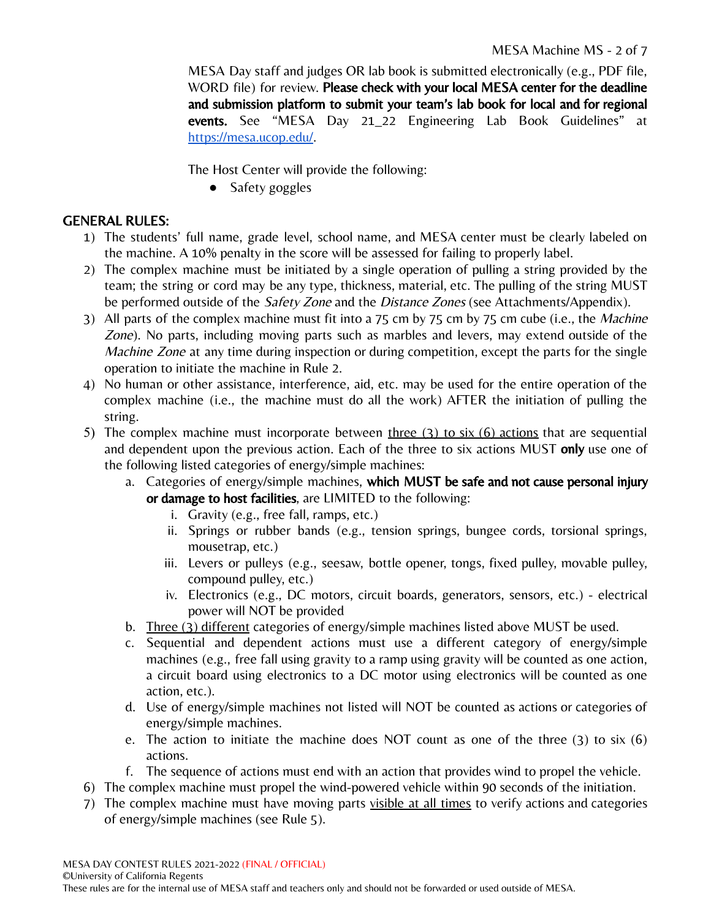MESA Day staff and judges OR lab book is submitted electronically (e.g., PDF file, WORD file) for review. Please check with your local MESA center for the deadline and submission platform to submit your team's lab book for local and for regional events. See "MESA Day 21\_22 Engineering Lab Book Guidelines" at [https://mesa.ucop.edu/.](https://mesa.ucop.edu/)

The Host Center will provide the following:

● Safety goggles

## GENERAL RULES:

- 1) The students' full name, grade level, school name, and MESA center must be clearly labeled on the machine. A 10% penalty in the score will be assessed for failing to properly label.
- 2) The complex machine must be initiated by a single operation of pulling a string provided by the team; the string or cord may be any type, thickness, material, etc. The pulling of the string MUST be performed outside of the *Safety Zone* and the *Distance Zones* (see Attachments/Appendix).
- 3) All parts of the complex machine must fit into a 75 cm by 75 cm by 75 cm cube (i.e., the Machine Zone). No parts, including moving parts such as marbles and levers, may extend outside of the *Machine Zone* at any time during inspection or during competition, except the parts for the single operation to initiate the machine in Rule 2.
- 4) No human or other assistance, interference, aid, etc. may be used for the entire operation of the complex machine (i.e., the machine must do all the work) AFTER the initiation of pulling the string.
- 5) The complex machine must incorporate between three  $(3)$  to six  $(6)$  actions that are sequential and dependent upon the previous action. Each of the three to six actions MUST only use one of the following listed categories of energy/simple machines:
	- a. Categories of energy/simple machines, which MUST be safe and not cause personal injury or damage to host facilities, are LIMITED to the following:
		- i. Gravity (e.g., free fall, ramps, etc.)
		- ii. Springs or rubber bands (e.g., tension springs, bungee cords, torsional springs, mousetrap, etc.)
		- iii. Levers or pulleys (e.g., seesaw, bottle opener, tongs, fixed pulley, movable pulley, compound pulley, etc.)
		- iv. Electronics (e.g., DC motors, circuit boards, generators, sensors, etc.) electrical power will NOT be provided
	- b. Three (3) different categories of energy/simple machines listed above MUST be used.
	- c. Sequential and dependent actions must use a different category of energy/simple machines (e.g., free fall using gravity to a ramp using gravity will be counted as one action, a circuit board using electronics to a DC motor using electronics will be counted as one action, etc.).
	- d. Use of energy/simple machines not listed will NOT be counted as actions or categories of energy/simple machines.
	- e. The action to initiate the machine does NOT count as one of the three (3) to six (6) actions.
	- f. The sequence of actions must end with an action that provides wind to propel the vehicle.
- 6) The complex machine must propel the wind-powered vehicle within 90 seconds of the initiation.
- 7) The complex machine must have moving parts visible at all times to verify actions and categories of energy/simple machines (see Rule 5).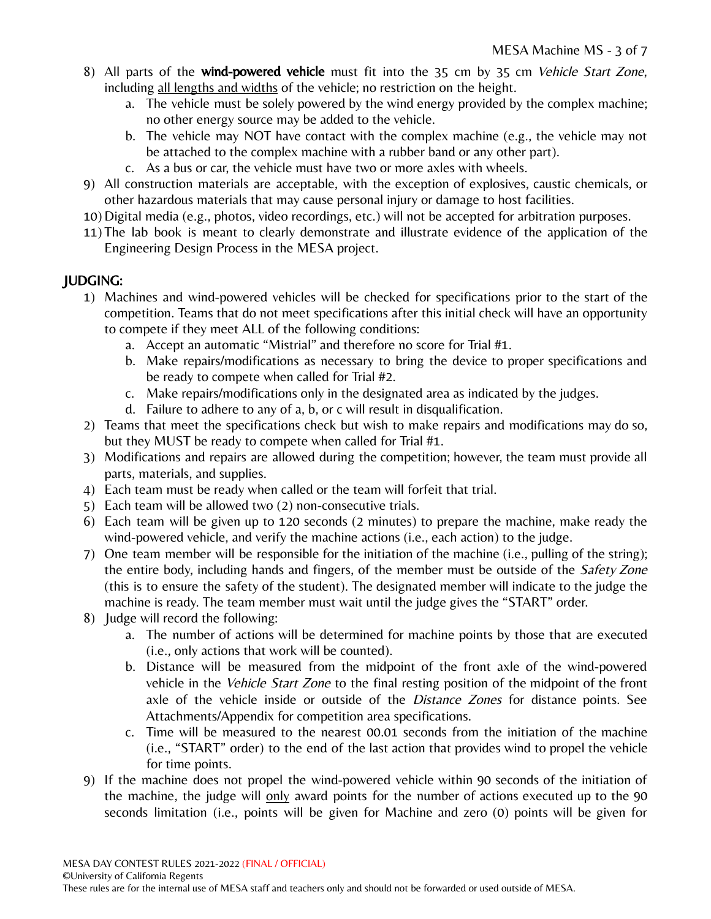- 8) All parts of the **wind-powered vehicle** must fit into the 35 cm by 35 cm *Vehicle Start Zone*, including all lengths and widths of the vehicle; no restriction on the height.
	- a. The vehicle must be solely powered by the wind energy provided by the complex machine; no other energy source may be added to the vehicle.
	- b. The vehicle may NOT have contact with the complex machine (e.g., the vehicle may not be attached to the complex machine with a rubber band or any other part).
	- c. As a bus or car, the vehicle must have two or more axles with wheels.
- 9) All construction materials are acceptable, with the exception of explosives, caustic chemicals, or other hazardous materials that may cause personal injury or damage to host facilities.
- 10) Digital media (e.g., photos, video recordings, etc.) will not be accepted for arbitration purposes.
- 11) The lab book is meant to clearly demonstrate and illustrate evidence of the application of the Engineering Design Process in the MESA project.

## JUDGING:

- 1) Machines and wind-powered vehicles will be checked for specifications prior to the start of the competition. Teams that do not meet specifications after this initial check will have an opportunity to compete if they meet ALL of the following conditions:
	- a. Accept an automatic "Mistrial" and therefore no score for Trial #1.
	- b. Make repairs/modifications as necessary to bring the device to proper specifications and be ready to compete when called for Trial #2.
	- c. Make repairs/modifications only in the designated area as indicated by the judges.
	- d. Failure to adhere to any of a, b, or c will result in disqualification.
- 2) Teams that meet the specifications check but wish to make repairs and modifications may do so, but they MUST be ready to compete when called for Trial #1.
- 3) Modifications and repairs are allowed during the competition; however, the team must provide all parts, materials, and supplies.
- 4) Each team must be ready when called or the team will forfeit that trial.
- 5) Each team will be allowed two (2) non-consecutive trials.
- 6) Each team will be given up to 120 seconds (2 minutes) to prepare the machine, make ready the wind-powered vehicle, and verify the machine actions (i.e., each action) to the judge.
- 7) One team member will be responsible for the initiation of the machine (i.e., pulling of the string); the entire body, including hands and fingers, of the member must be outside of the *Safety Zone* (this is to ensure the safety of the student). The designated member will indicate to the judge the machine is ready. The team member must wait until the judge gives the "START" order.
- 8) Judge will record the following:
	- a. The number of actions will be determined for machine points by those that are executed (i.e., only actions that work will be counted).
	- b. Distance will be measured from the midpoint of the front axle of the wind-powered vehicle in the Vehicle Start Zone to the final resting position of the midpoint of the front axle of the vehicle inside or outside of the *Distance Zones* for distance points. See Attachments/Appendix for competition area specifications.
	- c. Time will be measured to the nearest 00.01 seconds from the initiation of the machine (i.e., "START" order) to the end of the last action that provides wind to propel the vehicle for time points.
- 9) If the machine does not propel the wind-powered vehicle within 90 seconds of the initiation of the machine, the judge will  $\frac{only}{ar}$  award points for the number of actions executed up to the 90 seconds limitation (i.e., points will be given for Machine and zero (0) points will be given for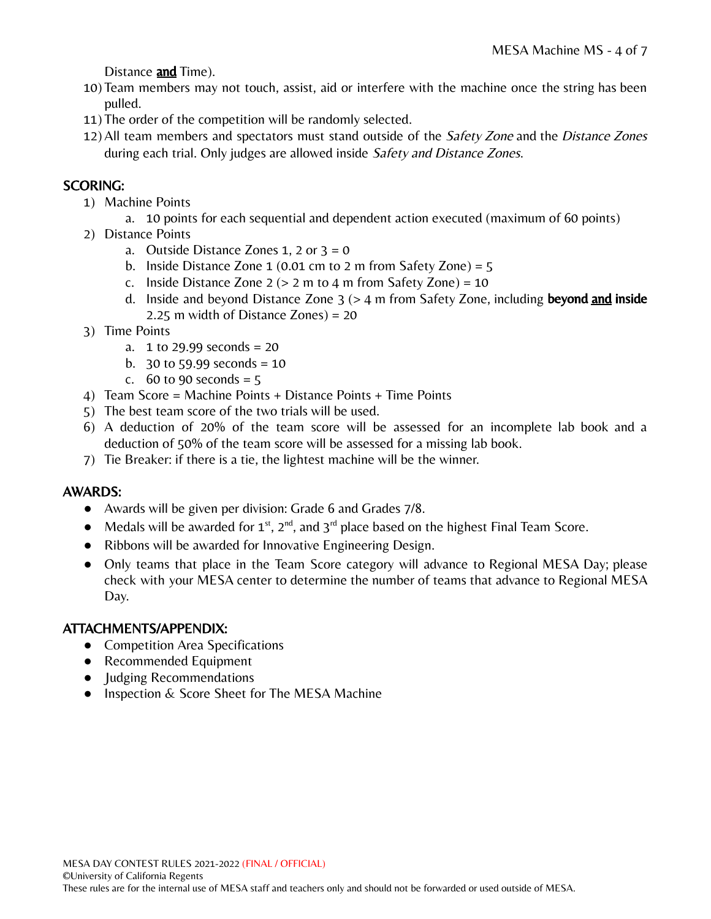Distance and Time).

- 10) Team members may not touch, assist, aid or interfere with the machine once the string has been pulled.
- 11) The order of the competition will be randomly selected.
- 12) All team members and spectators must stand outside of the Safety Zone and the Distance Zones during each trial. Only judges are allowed inside Safety and Distance Zones.

## SCORING:

- 1) Machine Points
	- a. 10 points for each sequential and dependent action executed (maximum of 60 points)
- 2) Distance Points
	- a. Outside Distance Zones 1, 2 or  $3 = 0$
	- b. Inside Distance Zone  $1$  (0.01 cm to 2 m from Safety Zone) = 5
	- c. Inside Distance Zone  $2$  ( $> 2$  m to  $4$  m from Safety Zone) = 10
	- d. Inside and beyond Distance Zone  $3$  ( $>$  4 m from Safety Zone, including **beyond and inside** 2.25 m width of Distance Zones) = 20
- 3) Time Points
	- a. 1 to 29.99 seconds = 20
	- b. 30 to 59.99 seconds =  $10$
	- c. 60 to 90 seconds =  $5$
- 4) Team Score = Machine Points + Distance Points + Time Points
- 5) The best team score of the two trials will be used.
- 6) A deduction of 20% of the team score will be assessed for an incomplete lab book and a deduction of 50% of the team score will be assessed for a missing lab book.
- 7) Tie Breaker: if there is a tie, the lightest machine will be the winner.

## AWARDS:

- Awards will be given per division: Grade 6 and Grades 7/8.
- Medals will be awarded for  $1^{st}$ ,  $2^{nd}$ , and  $3^{rd}$  place based on the highest Final Team Score.
- Ribbons will be awarded for Innovative Engineering Design.
- Only teams that place in the Team Score category will advance to Regional MESA Day; please check with your MESA center to determine the number of teams that advance to Regional MESA Day.

## ATTACHMENTS/APPENDIX:

- Competition Area Specifications
- Recommended Equipment
- Judging Recommendations
- Inspection & Score Sheet for The MESA Machine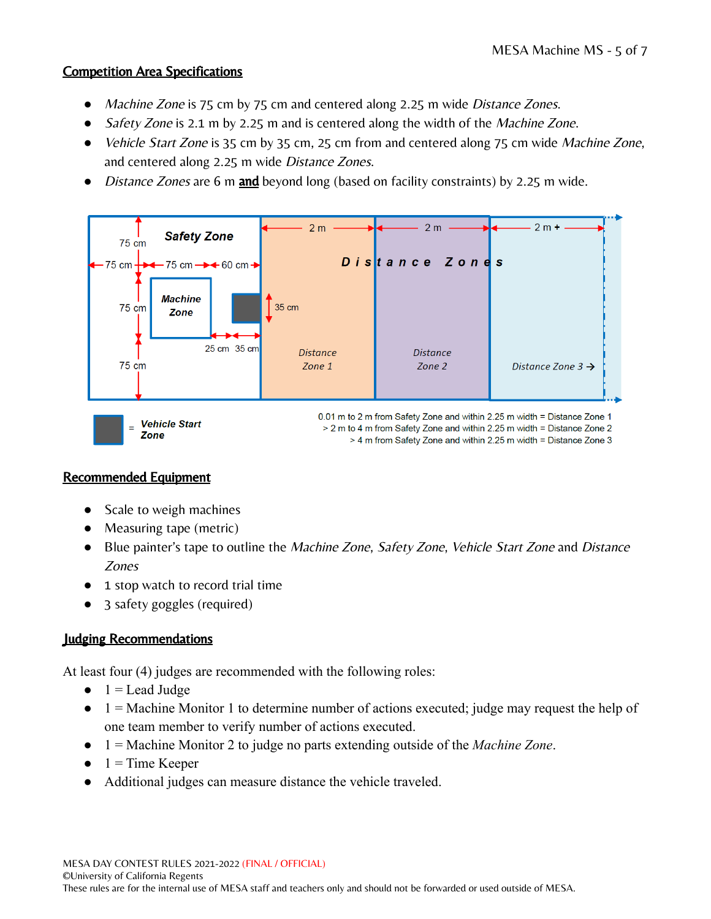### Competition Area Specifications

- Machine Zone is 75 cm by 75 cm and centered along 2.25 m wide Distance Zones.
- Safety Zone is 2.1 m by 2.25 m and is centered along the width of the *Machine Zone*.
- *Vehicle Start Zone* is 35 cm by 35 cm, 25 cm from and centered along 75 cm wide *Machine Zone*, and centered along 2.25 m wide Distance Zones.
- Distance Zones are 6 m and beyond long (based on facility constraints) by 2.25 m wide.



### Recommended Equipment

- Scale to weigh machines
- Measuring tape (metric)
- Blue painter's tape to outline the Machine Zone, Safety Zone, Vehicle Start Zone and Distance Zones
- 1 stop watch to record trial time
- 3 safety goggles (required)

## Judging Recommendations

At least four (4) judges are recommended with the following roles:

- $\bullet$  1 = Lead Judge
- $\bullet$  1 = Machine Monitor 1 to determine number of actions executed; judge may request the help of one team member to verify number of actions executed.
- 1 = Machine Monitor 2 to judge no parts extending outside of the *Machine Zone*.
- $\bullet$  1 = Time Keeper
- Additional judges can measure distance the vehicle traveled.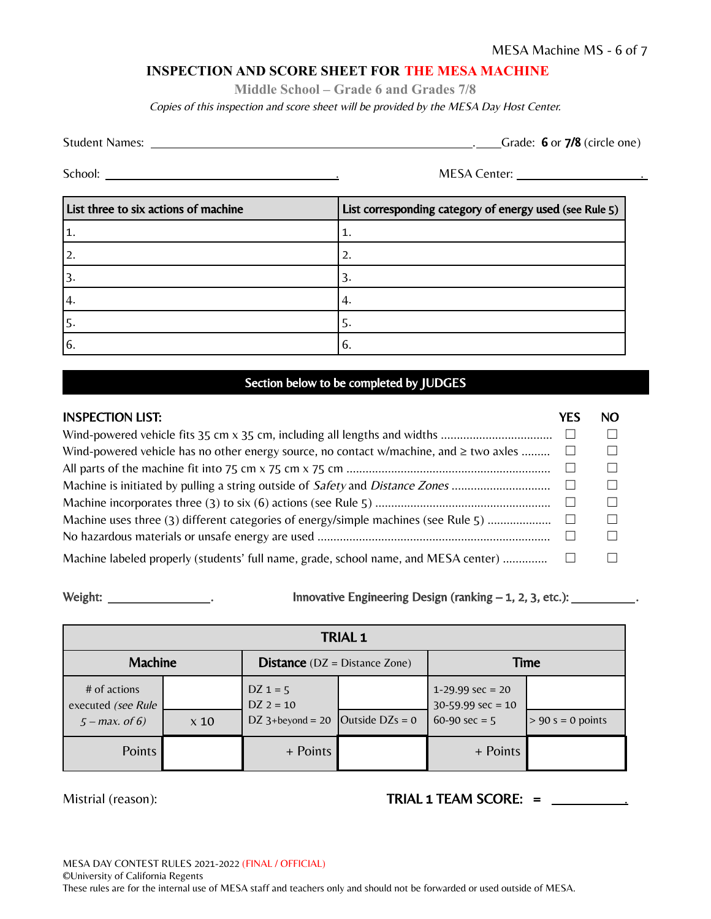#### **INSPECTION AND SCORE SHEET FOR THE MESA MACHINE**

**Middle School – Grade 6 and Grades 7/8**

Copies of this inspection and score sheet will be provided by the MESA Day Host Center.

| <b>Student Names:</b> |  |  | Grade: $6$ or $7/8$ (circle one) |
|-----------------------|--|--|----------------------------------|
|                       |  |  |                                  |

School: . MESA Center: .

| List three to six actions of machine | List corresponding category of energy used (see Rule 5) |
|--------------------------------------|---------------------------------------------------------|
|                                      | ı.                                                      |
| 2.                                   | 2.                                                      |
|                                      |                                                         |
| 4.                                   | 4                                                       |
| 15.                                  | 5.                                                      |
| <sup>16.</sup>                       | $\mathfrak{b}.$                                         |

#### Section below to be completed by JUDGES

| <b>INSPECTION LIST:</b>                                                                     | YFS | NO. |
|---------------------------------------------------------------------------------------------|-----|-----|
|                                                                                             |     |     |
| Wind-powered vehicle has no other energy source, no contact w/machine, and $\geq$ two axles |     |     |
|                                                                                             |     |     |
|                                                                                             |     |     |
|                                                                                             |     |     |
| Machine uses three (3) different categories of energy/simple machines (see Rule 5)          |     |     |
|                                                                                             |     |     |
| Machine labeled properly (students' full name, grade, school name, and MESA center)         |     |     |

Weight:  $\frac{1}{\frac{1}{\sqrt{1-\frac{1}{\sqrt{1-\frac{1}{\sqrt{1-\frac{1}{\sqrt{1-\frac{1}{\sqrt{1-\frac{1}{\sqrt{1-\frac{1}{\sqrt{1-\frac{1}{\sqrt{1-\frac{1}{\sqrt{1-\frac{1}{\sqrt{1-\frac{1}{\sqrt{1-\frac{1}{\sqrt{1-\frac{1}{\sqrt{1-\frac{1}{\sqrt{1-\frac{1}{\sqrt{1-\frac{1}{\sqrt{1-\frac{1}{\sqrt{1-\frac{1}{\sqrt{1-\frac{1}{\sqrt{1-\frac{1}{\sqrt{1-\frac{1}{\sqrt{1-\frac{1}{\sqrt{1-\frac{1}{\sqrt{1$ 

| <b>TRIAL 1</b>                                         |             |                                                  |                   |                                                                      |                     |
|--------------------------------------------------------|-------------|--------------------------------------------------|-------------------|----------------------------------------------------------------------|---------------------|
| <b>Machine</b>                                         |             | <b>Distance</b> ( $DZ = Distance$ Zone)          |                   | <b>Time</b>                                                          |                     |
| # of actions<br>executed (see Rule<br>$5 - max.$ of 6) | $\times 10$ | $DZ = 5$<br>$DZ$ 2 = 10<br>DZ $3+begin$ ord = 20 | Outside $DZs = 0$ | $1-29.99 \text{ sec} = 20$<br>$30-59.99$ sec = 10<br>60-90 sec = $5$ | $> 90$ s = 0 points |
| Points                                                 |             | + Points                                         |                   | + Points                                                             |                     |

Mistrial (reason):

|  |  | TRIAL 1 TEAM SCORE: = |  |
|--|--|-----------------------|--|
|--|--|-----------------------|--|